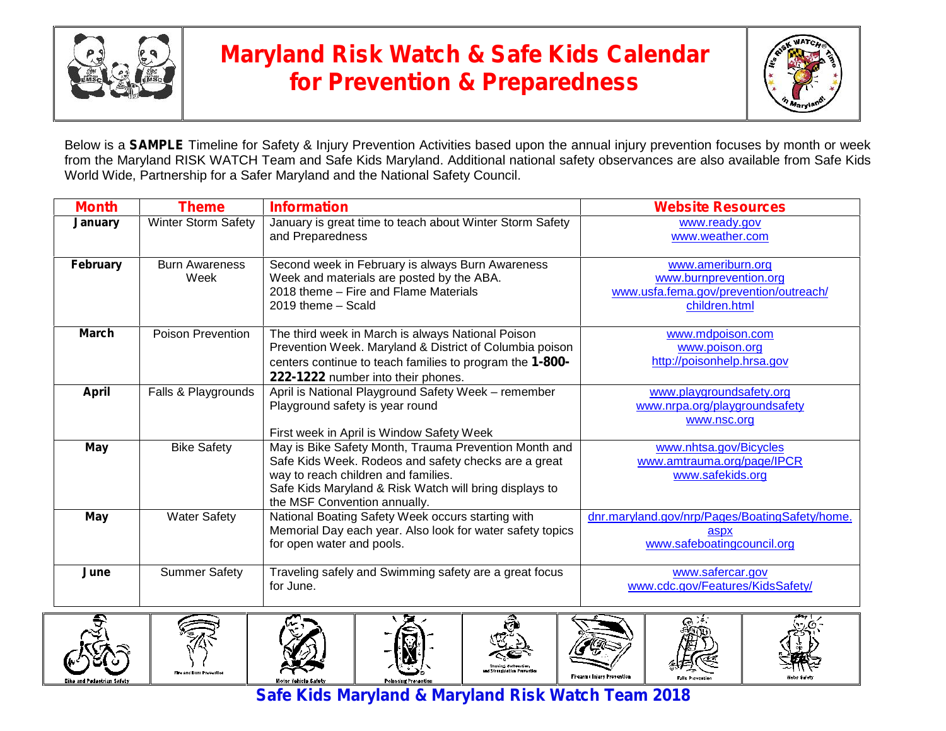

## **Maryland Risk Watch & Safe Kids Calendar for Prevention & Preparedness**



Below is a **SAMPLE** Timeline for Safety & Injury Prevention Activities based upon the annual injury prevention focuses by month or week from the Maryland RISK WATCH Team and Safe Kids Maryland. Additional national safety observances are also available from Safe Kids World Wide, Partnership for a Safer Maryland and the National Safety Council.

| <b>Month</b> | <b>Theme</b>               | <b>Information</b>                                        | <b>Website Resources</b>                       |
|--------------|----------------------------|-----------------------------------------------------------|------------------------------------------------|
| January      | <b>Winter Storm Safety</b> | January is great time to teach about Winter Storm Safety  | www.ready.gov                                  |
|              |                            | and Preparedness                                          | www.weather.com                                |
| February     | <b>Burn Awareness</b>      | Second week in February is always Burn Awareness          | www.ameriburn.org                              |
|              | Week                       | Week and materials are posted by the ABA.                 | www.burnprevention.org                         |
|              |                            | 2018 theme - Fire and Flame Materials                     | www.usfa.fema.gov/prevention/outreach/         |
|              |                            | 2019 theme - Scald                                        | children.html                                  |
| <b>March</b> | <b>Poison Prevention</b>   | The third week in March is always National Poison         | www.mdpoison.com                               |
|              |                            | Prevention Week. Maryland & District of Columbia poison   | www.poison.org                                 |
|              |                            | centers continue to teach families to program the 1-800-  | http://poisonhelp.hrsa.gov                     |
|              |                            | 222-1222 number into their phones.                        |                                                |
| <b>April</b> | Falls & Playgrounds        | April is National Playground Safety Week - remember       | www.playgroundsafety.org                       |
|              |                            | Playground safety is year round                           | www.nrpa.org/playgroundsafety                  |
|              |                            |                                                           | www.nsc.org                                    |
|              |                            | First week in April is Window Safety Week                 |                                                |
| May          | <b>Bike Safety</b>         | May is Bike Safety Month, Trauma Prevention Month and     | www.nhtsa.gov/Bicycles                         |
|              |                            | Safe Kids Week. Rodeos and safety checks are a great      | www.amtrauma.org/page/IPCR                     |
|              |                            | way to reach children and families.                       | www.safekids.org                               |
|              |                            | Safe Kids Maryland & Risk Watch will bring displays to    |                                                |
|              |                            | the MSF Convention annually.                              |                                                |
| May          | <b>Water Safety</b>        | National Boating Safety Week occurs starting with         | dnr.maryland.gov/nrp/Pages/BoatingSafety/home. |
|              |                            | Memorial Day each year. Also look for water safety topics | aspx                                           |
|              |                            | for open water and pools.                                 | www.safeboatingcouncil.org                     |
| June         | <b>Summer Safety</b>       | Traveling safely and Swimming safety are a great focus    | www.safercar.gov                               |
|              |                            | for June.                                                 | www.cdc.gov/Features/KidsSafety/               |
|              |                            |                                                           |                                                |



**Safe Kids Maryland & Maryland Risk Watch Team 2018**